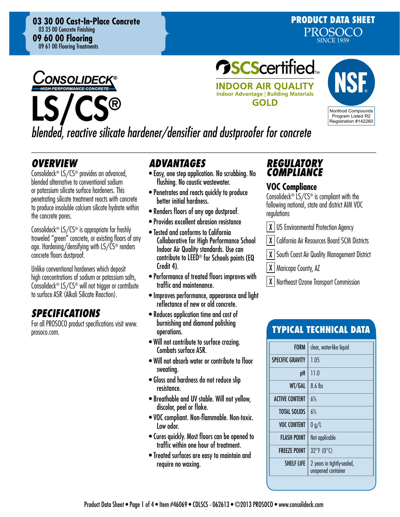







LS/CS® *blended, reactive silicate hardener/densifier and dustproofer for concrete*

# *OVERVIEW*

Consolideck® LS/CS® provides an advanced, blended alternative to conventional sodium or potassium silicate surface hardeners. This penetrating silicate treatment reacts with concrete to produce insoluble calcium silicate hydrate within the concrete pores.

Consolideck® LS/CS® is appropriate for freshly troweled "green" concrete, or existing floors of any age. Hardening/densifying with LS/CS® renders concrete floors dustproof.

Unlike conventional hardeners which deposit high concentrations of sodium or potassium salts, Consolideck® LS/CS® will not trigger or contribute to surface ASR (Alkali Silicate Reaction).

# *Specifications*

For all PROSOCO product specifications visit www. prosoco.com.

# *ADVANTAGES*

- Easy, one step application. No scrubbing. No flushing. No caustic wastewater.
- Penetrates and reacts quickly to produce better initial hardness.
- Renders floors of any age dustproof.
- Provides excellent abrasion resistance
- Tested and conforms to California Collaborative for High Performance School Indoor Air Quality standards. Use can contribute to LEED® for Schools points (EQ Credit 4).
- Performance of treated floors improves with traffic and maintenance.
- Improves performance, appearance and light reflectance of new or old concrete.
- Reduces application time and cost of burnishing and diamond polishing operations.
- Will not contribute to surface crazing. Combats surface ASR.
- Will not absorb water or contribute to floor sweating.
- Gloss and hardness do not reduce slip resistance.
- Breathable and UV stable. Will not yellow, discolor, peel or flake.
- VOC compliant. Non-flammable. Non-toxic. Low odor.
- Cures quickly. Most floors can be opened to traffic within one hour of treatment.
- Treated surfaces are easy to maintain and require no waxing.

# *Regulatory Compliance*

# **VOC Compliance**

Consolideck<sup>®</sup>  $\overline{LS}/\overline{CS}$ <sup>®</sup> is compliant with the following national, state and district AIM VOC regulations

- **X** US Environmental Protection Agency
- X | California Air Resources Board SCM Districts
- | X | South Coast Air Quality Management District
- | X | Maricopa County, AZ
- X | Northeast Ozone Transport Commission

# Typical technical data

| <b>FORM</b>             | clear, water-like liquid                         |
|-------------------------|--------------------------------------------------|
| <b>SPECIFIC GRAVITY</b> | 1.05                                             |
| рH                      | 11.0                                             |
| WT/GAL                  | 8.6 lbs                                          |
| <b>ACTIVE CONTENT</b>   | 6%                                               |
| <b>TOTAL SOLIDS</b>     | 6%                                               |
| <b>VOC CONTENT</b>      | 0 g/L                                            |
| FLASH POINT             | Not applicable                                   |
| <b>FREEZE POINT</b>     | $32^{\circ}F(0^{\circ}C)$                        |
| <b>SHELF LIFE</b>       | 2 years in tightly-sealed,<br>unopened container |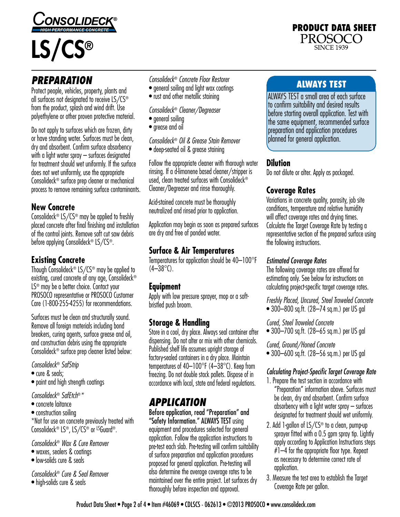

LS/CS®

# *PREPARATION*

Protect people, vehicles, property, plants and all surfaces not designated to receive LS/CS® from the product, splash and wind drift. Use polyethylene or other proven protective material.

Do not apply to surfaces which are frozen, dirty or have standing water. Surfaces must be clean, dry and absorbent. Confirm surface absorbency with a light water spray – surfaces designated for treatment should wet uniformly. If the surface does not wet uniformly, use the appropriate Consolideck® surface prep cleaner or mechanical process to remove remaining surface contaminants.

#### **New Concrete**

Consolideck<sup>®</sup> LS/CS<sup>®</sup> may be applied to freshly placed concrete after final finishing and installation of the control joints. Remove soft cut saw debris before applying Consolideck® LS/CS®.

## **Existing Concrete**

Though Consolideck® LS/CS® may be applied to existing, cured concrete of any age, Consolideck® LS® may be a better choice. Contact your PROSOCO representative or PROSOCO Customer Care (1-800-255-4255) for recommendations.

Surfaces must be clean and structurally sound. Remove all foreign materials including bond breakers, curing agents, surface grease and oil, and construction debris using the appropriate Consolideck® surface prep cleaner listed below:

*Consolideck*® *SafStrip*

- cure & seals;
- paint and high strength coatings

*Consolideck*® *SafEtch*®*\**

- concrete laitance
- construction soiling

\*Not for use on concrete previously treated with Consolideck<sup>®</sup> LS<sup>®</sup>, LS/CS<sup>®</sup> or <sup>LS</sup>Guard<sup>®</sup>.

*Consolideck*® *Wax & Cure Remover*

- waxes, sealers & coatings
- low-solids cure & seals

*Consolideck*® *Cure & Seal Remover* • high-solids cure & seals

*Consolideck*® *Concrete Floor Restorer*

- general soiling and light wax coatings
- rust and other metallic staining

*Consolideck*® *Cleaner/Degreaser*

- general soiling
- grease and oil

*Consolideck*® *Oil & Grease Stain Remover* • deep-seated oil & grease staining

Follow the appropriate cleaner with thorough water rinsing. If a d-limonene based cleaner/stripper is used, clean treated surfaces with Consolideck® Cleaner/Degreaser and rinse thoroughly.

Acid-stained concrete must be thoroughly neutralized and rinsed prior to application.

Application may begin as soon as prepared surfaces are dry and free of ponded water.

#### **Surface & Air Temperatures**

Temperatures for application should be 40–100°F  $(4-38^{\circ}C)$ .

#### **Equipment**

Apply with low pressure sprayer, mop or a softbristled push broom.

# **Storage & Handling**

Store in a cool, dry place. Always seal container after dispensing. Do not alter or mix with other chemicals. Published shelf life assumes upright storage of factory-sealed containers in a dry place. Maintain temperatures of 40–100°F (4–38°C). Keep from freezing. Do not double stack pallets. Dispose of in accordance with local, state and federal regulations.

# *APPLICATION*

Before application, read "Preparation" and "Safety Information." ALWAYS TEST using equipment and procedures selected for general application. Follow the application instructions to pre-test each slab. Pre-testing will confirm suitability of surface preparation and application procedures proposed for general application. Pre-testing will also determine the average coverage rates to be maintained over the entire project. Let surfaces dry thoroughly before inspection and approval.

# ALWAYS TEST

PRODUCT DATA SHEET

PROSOCO **SINCE 1939** 

ALWAYS TEST a small area of each surface to confirm suitability and desired results before starting overall application. Test with the same equipment, recommended surface preparation and application procedures planned for general application.

#### **Dilution**

Do not dilute or alter. Apply as packaged.

### **Coverage Rates**

Variations in concrete quality, porosity, job site conditions, temperature and relative humidity will affect coverage rates and drying times. Calculate the Target Coverage Rate by testing a representative section of the prepared surface using the following instructions.

#### *Estimated Coverage Rates*

The following coverage rates are offered for estimating only. See below for instructions on calculating project-specific target coverage rates.

*Freshly Placed, Uncured, Steel Troweled Concrete*

• 300–800 sq.ft. (28–74 sq.m.) per US gal

*Cured, Steel Troweled Concrete* • 300–700 sq.ft. (28–65 sq.m.) per US gal

*Cured, Ground/Honed Concrete*

• 300–600 sq.ft. (28–56 sq.m.) per US gal

#### *Calculating Project-Specific Target Coverage Rate*

- 1. Prepare the test section in accordance with "Preparation" information above. Surfaces must be clean, dry and absorbent. Confirm surface absorbency with a light water spray – surfaces designated for treatment should wet uniformly.
- 2. Add 1-gallon of LS/CS® to a clean, pump-up sprayer fitted with a 0.5 gpm spray tip. Lightly apply according to Application Instructions steps  $#1-4$  for the appropriate floor type. Repeat as necessary to determine correct rate of application.
- 3. Measure the test area to establish the Target Coverage Rate per gallon.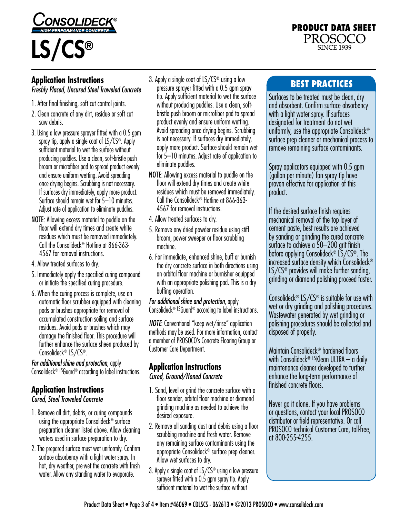

# LS/CS®

# **Application Instructions**

#### *Freshly Placed, Uncured Steel Troweled Concrete*

- 1. After final finishing, soft cut control joints.
- 2. Clean concrete of any dirt, residue or soft cut saw debris.
- 3. Using a low pressure sprayer fitted with a 0.5 gpm spray tip, apply a single coat of LS/CS®. Apply sufficient material to wet the surface without producing puddles. Use a clean, soft-bristle push broom or microfiber pad to spread product evenly and ensure uniform wetting. Avoid spreading once drying begins. Scrubbing is not necessary. If surfaces dry immediately, apply more product. Surface should remain wet for 5–10 minutes. Adjust rate of application to eliminate puddles.
- NOTE: Allowing excess material to puddle on the floor will extend dry times and create white residues which must be removed immediately. Call the Consolideck® Hotline at 866-363- 4567 for removal instructions.
- 4. Allow treated surfaces to dry.
- 5. Immediately apply the specified curing compound or initiate the specified curing procedure.
- 6. When the curing process is complete, use an automatic floor scrubber equipped with cleaning pads or brushes appropriate for removal of accumulated construction soiling and surface residues. Avoid pads or brushes which may damage the finished floor. This procedure will further enhance the surface sheen produced by Consolideck® LS/CS®.

*For additional shine and protection*, apply Consolideck<sup>® LS</sup>Guard<sup>®</sup> according to label instructions.

# **Application Instructions**

#### *Cured, Steel Troweled Concrete*

- 1. Remove all dirt, debris, or curing compounds using the appropriate Consolideck® surface preparation cleaner listed above. Allow cleaning waters used in surface preparation to dry.
- 2. The prepared surface must wet uniformly. Confirm surface absorbency with a light water spray. In hot, dry weather, pre-wet the concrete with fresh water. Allow any standing water to evaporate.
- 3. Apply a single coat of  $LS/CS^{\circledcirc}$  using a low pressure sprayer fitted with a 0.5 gpm spray tip. Apply sufficient material to wet the surface without producing puddles. Use a clean, softbristle push broom or microfiber pad to spread product evenly and ensure uniform wetting. Avoid spreading once drying begins. Scrubbing is not necessary. If surfaces dry immediately, apply more product. Surface should remain wet for 5–10 minutes. Adjust rate of application to eliminate puddles.
- NOTE: Allowing excess material to puddle on the floor will extend dry times and create white residues which must be removed immediately. Call the Consolideck® Hotline at 866-363- 4567 for removal instructions.
- 4. Allow treated surfaces to dry.
- 5. Remove any dried powder residue using stiff broom, power sweeper or floor scrubbing machine.
- 6. For immediate, enhanced shine, buff or burnish the dry concrete surface in both directions using an orbital floor machine or burnisher equipped with an appropriate polishing pad. This is a dry buffing operation.

*For additional shine and protection*, apply Consolideck® lsGuard® according to label instructions.

*NOTE*: Conventional "keep wet/rinse" application methods may be used. For more information, contact a member of PROSOCO's Concrete Flooring Group or Customer Care Department.

# **Application Instructions**

#### *Cured, Ground/Honed Concrete*

- 1. Sand, level or grind the concrete surface with a floor sander, orbital floor machine or diamond grinding machine as needed to achieve the desired exposure.
- 2. Remove all sanding dust and debris using a floor scrubbing machine and fresh water. Remove any remaining surface contaminants using the appropriate Consolideck® surface prep cleaner. Allow wet surfaces to dry.
- 3. Apply a single coat of LS/CS® using a low pressure sprayer fitted with a 0.5 gpm spray tip. Apply sufficient material to wet the surface without

# Best practices

PRODUCT DATA SHEET

PROSOCO **SINCE 1939** 

Surfaces to be treated must be clean, dry and absorbent. Confirm surface absorbency with a light water spray. If surfaces designated for treatment do not wet uniformly, use the appropriate Consolideck® surface prep cleaner or mechanical process to remove remaining surface contaminants.

Spray applicators equipped with 0.5 gpm (gallon per minute) fan spray tip have proven effective for application of this product.

If the desired surface finish requires mechanical removal of the top layer of cement paste, best results are achieved by sanding or grinding the cured concrete surface to achieve a 50–200 grit finish before applying Consolideck® LS/CS®. The increased surface density which Consolideck® LS/CS® provides will make further sanding, grinding or diamond polishing proceed faster.

Consolideck® LS/CS® is suitable for use with wet or dry grinding and polishing procedures. Wastewater generated by wet grinding or polishing procedures should be collected and disposed of properly.

Maintain Consolideck® hardened floors with Consolideck® lsKlean ULTRA – a daily maintenance cleaner developed to further enhance the long-term performance of finished concrete floors.

Never go it alone. If you have problems or questions, contact your local PROSOCO distributor or field representative. Or call PROSOCO technical Customer Care, toll-free, at 800-255-4255.